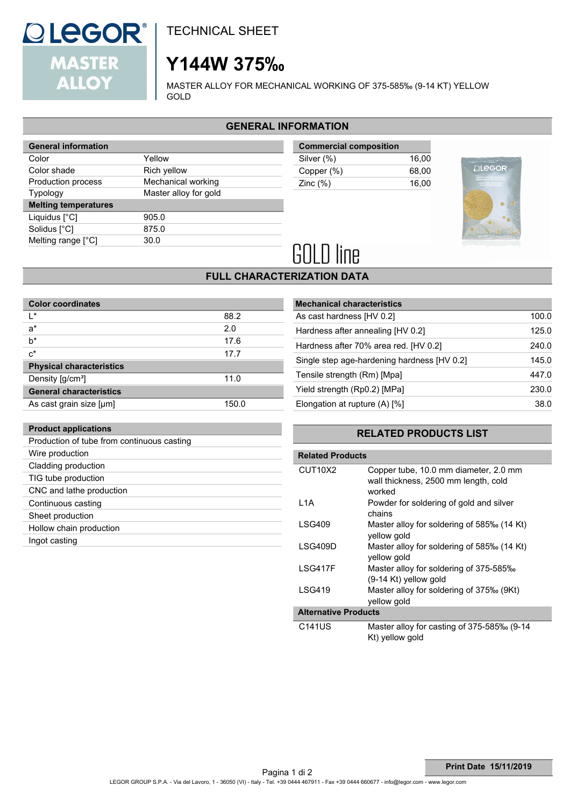# **QLEGOR® MASTER ALLOY**

**Product applications**

Wire production Cladding production TIG tube production CNC and lathe production Continuous casting Sheet production Hollow chain production

Ingot casting

Production of tube from continuous casting

TECHNICAL SHEET

# **Y144W 375‰**

MASTER ALLOY FOR MECHANICAL WORKING OF 375-585‰ (9-14 KT) YELLOW GOLD

## **GENERAL INFORMATION**

| <b>General information</b>  |                       |
|-----------------------------|-----------------------|
| Color                       | Yellow                |
| Color shade                 | Rich yellow           |
| Production process          | Mechanical working    |
| <b>Typology</b>             | Master alloy for gold |
| <b>Melting temperatures</b> |                       |
| Liquidus [°C]               | 905.0                 |
| Solidus [°C]                | 875.0                 |
| Melting range $[^{\circ}C]$ | 30.0                  |
|                             |                       |

| <b>Commercial composition</b> |       |
|-------------------------------|-------|
| Silver (%)                    | 16.00 |
| Copper (%)                    | 68.00 |
| Zinc $(%)$                    | 16.00 |
|                               |       |



# **GOLD line**

## **FULL CHARACTERIZATION DATA**

| <b>Color coordinates</b>              |       |
|---------------------------------------|-------|
| $\mathsf{I}^*$                        | 88.2  |
| $a^*$                                 | 2.0   |
| $b^*$                                 | 17.6  |
| $c^*$                                 | 17.7  |
| <b>Physical characteristics</b>       |       |
| Density $\left[\frac{g}{cm^3}\right]$ | 11.0  |
| <b>General characteristics</b>        |       |
| As cast grain size [µm]               | 150.0 |

| <b>Mechanical characteristics</b>           |       |
|---------------------------------------------|-------|
| As cast hardness [HV 0.2]                   | 100.0 |
| Hardness after annealing [HV 0.2]           | 125.0 |
| Hardness after 70% area red. [HV 0.2]       | 240.0 |
| Single step age-hardening hardness [HV 0.2] | 145.0 |
| Tensile strength (Rm) [Mpa]                 | 447.0 |
| Yield strength (Rp0.2) [MPa]                | 230.0 |
| Elongation at rupture (A) [%]               | 38.0  |

### **RELATED PRODUCTS LIST**

| <b>Related Products</b>          |                                                                                         |
|----------------------------------|-----------------------------------------------------------------------------------------|
| CUT <sub>10</sub> X <sub>2</sub> | Copper tube, 10.0 mm diameter, 2.0 mm<br>wall thickness, 2500 mm length, cold<br>worked |
| 11A                              | Powder for soldering of gold and silver<br>chains                                       |
| LSG409                           | Master alloy for soldering of 585‰ (14 Kt)<br>yellow gold                               |
| I SG409D                         | Master alloy for soldering of 585‰ (14 Kt)<br>yellow gold                               |
| I SG417F                         | Master alloy for soldering of 375-585‰<br>$(9-14$ Kt) yellow gold                       |
| LSG419                           | Master alloy for soldering of 375‰ (9Kt)<br>yellow gold                                 |
| <b>Alternative Products</b>      |                                                                                         |
| C141US                           | Master alloy for casting of 375-585‰ (9-14<br>Kt) vellow gold                           |